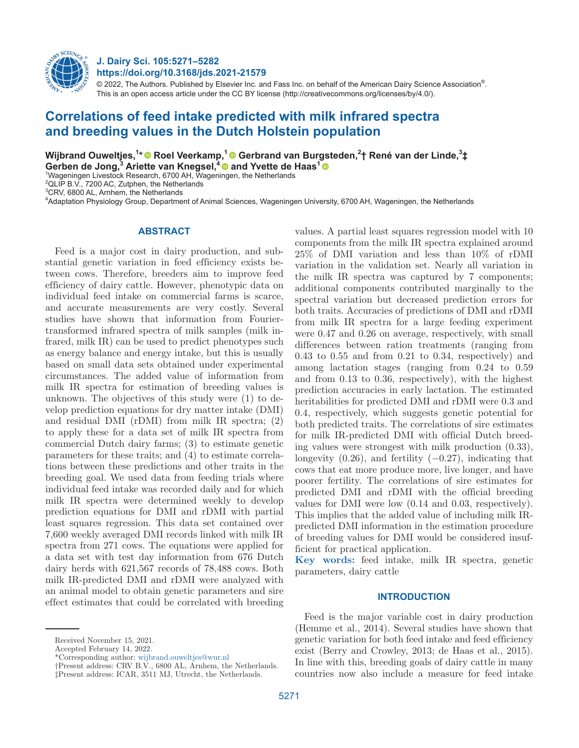

**J. Dairy Sci. 105:5271–5282 https://doi.org/10.3168/jds.2021-21579**

 $@$  2022, The Authors. Published by Elsevier Inc. and Fass Inc. on behalf of the American Dairy Science Association $^{\circ}$ . This is an open access article under the CC BY license (http://creativecommons.org/licenses/by/4.0/).

# **Correlations of feed intake predicted with milk infrared spectra and breeding values in the Dutch Holstein population**

**Wijbrand Ouweltjes,1 \* [R](https://orcid.org/0000-0001-5455-0110)oel Veerkamp,1Gerbrand van Bur[gst](https://orcid.org/0000-0002-4331-4101)eden,2 † René van der Linde,3 ‡** 

 $\mathsf{Gerben}\ \mathsf{de}\ \mathsf{Jong},^3\ \mathsf{Ariette}\ \mathsf{van}\ \mathsf{Knegsel},^4\textcircled{\bullet}\ \mathsf{and}\ \mathsf{Yvette}\ \mathsf{de}\ \mathsf{Haas}^1\ \mathsf{Wageningen}\ \mathsf{Livestock}\ \mathsf{Research}\ \mathsf{6700}\ \mathsf{AH}\ \mathsf{Wageningen}\ \mathsf{the}\ \mathsf{Netherlands}$  $\mathsf{Gerben}\ \mathsf{de}\ \mathsf{Jong},^3\ \mathsf{Ariette}\ \mathsf{van}\ \mathsf{Knegsel},^4\textcircled{\bullet}\ \mathsf{and}\ \mathsf{Yvette}\ \mathsf{de}\ \mathsf{Haas}^1\ \mathsf{Wageningen}\ \mathsf{Livestock}\ \mathsf{Research}\ \mathsf{6700}\ \mathsf{AH}\ \mathsf{Wageningen}\ \mathsf{the}\ \mathsf{Netherlands}$  $\mathsf{Gerben}\ \mathsf{de}\ \mathsf{Jong},^3\ \mathsf{Ariette}\ \mathsf{van}\ \mathsf{Knegsel},^4\textcircled{\bullet}\ \mathsf{and}\ \mathsf{Yvette}\ \mathsf{de}\ \mathsf{Haas}^1\ \mathsf{Wageningen}\ \mathsf{Livestock}\ \mathsf{Research}\ \mathsf{6700}\ \mathsf{AH}\ \mathsf{Wageningen}\ \mathsf{the}\ \mathsf{Netherlands}$ 

 $2$ QLIP B.V., 7200 AC, Zutphen, the Netherlands

3 CRV, 6800 AL, Arnhem, the Netherlands

4 Adaptation Physiology Group, Department of Animal Sciences, Wageningen University, 6700 AH, Wageningen, the Netherlands

## **ABSTRACT**

Feed is a major cost in dairy production, and substantial genetic variation in feed efficiency exists between cows. Therefore, breeders aim to improve feed efficiency of dairy cattle. However, phenotypic data on individual feed intake on commercial farms is scarce, and accurate measurements are very costly. Several studies have shown that information from Fouriertransformed infrared spectra of milk samples (milk infrared, milk IR) can be used to predict phenotypes such as energy balance and energy intake, but this is usually based on small data sets obtained under experimental circumstances. The added value of information from milk IR spectra for estimation of breeding values is unknown. The objectives of this study were (1) to develop prediction equations for dry matter intake (DMI) and residual DMI (rDMI) from milk IR spectra; (2) to apply these for a data set of milk IR spectra from commercial Dutch dairy farms; (3) to estimate genetic parameters for these traits; and (4) to estimate correlations between these predictions and other traits in the breeding goal. We used data from feeding trials where individual feed intake was recorded daily and for which milk IR spectra were determined weekly to develop prediction equations for DMI and rDMI with partial least squares regression. This data set contained over 7,600 weekly averaged DMI records linked with milk IR spectra from 271 cows. The equations were applied for a data set with test day information from 676 Dutch dairy herds with 621,567 records of 78,488 cows. Both milk IR-predicted DMI and rDMI were analyzed with an animal model to obtain genetic parameters and sire effect estimates that could be correlated with breeding

values. A partial least squares regression model with 10 components from the milk IR spectra explained around 25% of DMI variation and less than 10% of rDMI variation in the validation set. Nearly all variation in the milk IR spectra was captured by 7 components; additional components contributed marginally to the spectral variation but decreased prediction errors for both traits. Accuracies of predictions of DMI and rDMI from milk IR spectra for a large feeding experiment were 0.47 and 0.26 on average, respectively, with small differences between ration treatments (ranging from  $0.43$  to  $0.55$  and from  $0.21$  to  $0.34$ , respectively) and among lactation stages (ranging from 0.24 to 0.59 and from 0.13 to 0.36, respectively), with the highest prediction accuracies in early lactation. The estimated heritabilities for predicted DMI and rDMI were 0.3 and 0.4, respectively, which suggests genetic potential for both predicted traits. The correlations of sire estimates for milk IR-predicted DMI with official Dutch breeding values were strongest with milk production (0.33), longevity  $(0.26)$ , and fertility  $(-0.27)$ , indicating that cows that eat more produce more, live longer, and have poorer fertility. The correlations of sire estimates for predicted DMI and rDMI with the official breeding values for DMI were low (0.14 and 0.03, respectively). This implies that the added value of including milk IRpredicted DMI information in the estimation procedure of breeding values for DMI would be considered insufficient for practical application.

**Key words:** feed intake, milk IR spectra, genetic parameters, dairy cattle

# **INTRODUCTION**

Feed is the major variable cost in dairy production (Hemme et al., 2014). Several studies have shown that genetic variation for both feed intake and feed efficiency exist (Berry and Crowley, 2013; de Haas et al., 2015). In line with this, breeding goals of dairy cattle in many countries now also include a measure for feed intake

Received November 15, 2021.

Accepted February 14, 2022.

<sup>\*</sup>Corresponding author: [wijbrand.ouweltjes@wur.nl](mailto:wijbrand.ouweltjes@wur.nl)

<sup>†</sup>Present address: CRV B.V., 6800 AL, Arnhem, the Netherlands. ‡Present address: ICAR, 3511 MJ, Utrecht, the Netherlands.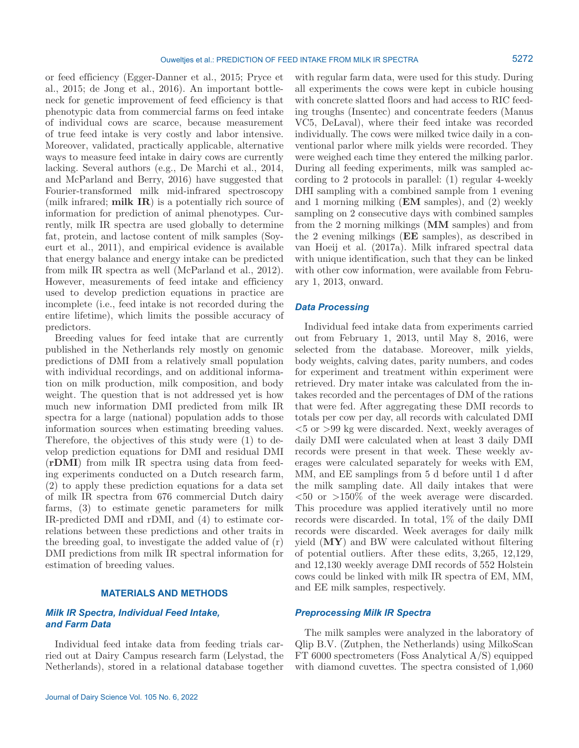or feed efficiency (Egger-Danner et al., 2015; Pryce et al., 2015; de Jong et al., 2016). An important bottleneck for genetic improvement of feed efficiency is that phenotypic data from commercial farms on feed intake of individual cows are scarce, because measurement of true feed intake is very costly and labor intensive. Moreover, validated, practically applicable, alternative ways to measure feed intake in dairy cows are currently lacking. Several authors (e.g., De Marchi et al., 2014, and McParland and Berry, 2016) have suggested that Fourier-transformed milk mid-infrared spectroscopy (milk infrared; **milk IR**) is a potentially rich source of information for prediction of animal phenotypes. Currently, milk IR spectra are used globally to determine fat, protein, and lactose content of milk samples (Soyeurt et al., 2011), and empirical evidence is available that energy balance and energy intake can be predicted from milk IR spectra as well (McParland et al., 2012). However, measurements of feed intake and efficiency used to develop prediction equations in practice are incomplete (i.e., feed intake is not recorded during the entire lifetime), which limits the possible accuracy of predictors.

Breeding values for feed intake that are currently published in the Netherlands rely mostly on genomic predictions of DMI from a relatively small population with individual recordings, and on additional information on milk production, milk composition, and body weight. The question that is not addressed yet is how much new information DMI predicted from milk IR spectra for a large (national) population adds to those information sources when estimating breeding values. Therefore, the objectives of this study were (1) to develop prediction equations for DMI and residual DMI (**rDMI**) from milk IR spectra using data from feeding experiments conducted on a Dutch research farm, (2) to apply these prediction equations for a data set of milk IR spectra from 676 commercial Dutch dairy farms, (3) to estimate genetic parameters for milk IR-predicted DMI and rDMI, and (4) to estimate correlations between these predictions and other traits in the breeding goal, to investigate the added value of (r) DMI predictions from milk IR spectral information for estimation of breeding values.

# **MATERIALS AND METHODS**

## *Milk IR Spectra, Individual Feed Intake, and Farm Data*

Individual feed intake data from feeding trials carried out at Dairy Campus research farm (Lelystad, the Netherlands), stored in a relational database together with regular farm data, were used for this study. During all experiments the cows were kept in cubicle housing with concrete slatted floors and had access to RIC feeding troughs (Insentec) and concentrate feeders (Manus VC5, DeLaval), where their feed intake was recorded individually. The cows were milked twice daily in a conventional parlor where milk yields were recorded. They were weighed each time they entered the milking parlor. During all feeding experiments, milk was sampled according to 2 protocols in parallel: (1) regular 4-weekly DHI sampling with a combined sample from 1 evening and 1 morning milking (**EM** samples), and (2) weekly sampling on 2 consecutive days with combined samples from the 2 morning milkings (**MM** samples) and from the 2 evening milkings (**EE** samples), as described in van Hoeij et al. (2017a). Milk infrared spectral data with unique identification, such that they can be linked with other cow information, were available from February 1, 2013, onward.

#### *Data Processing*

Individual feed intake data from experiments carried out from February 1, 2013, until May 8, 2016, were selected from the database. Moreover, milk yields, body weights, calving dates, parity numbers, and codes for experiment and treatment within experiment were retrieved. Dry mater intake was calculated from the intakes recorded and the percentages of DM of the rations that were fed. After aggregating these DMI records to totals per cow per day, all records with calculated DMI <5 or >99 kg were discarded. Next, weekly averages of daily DMI were calculated when at least 3 daily DMI records were present in that week. These weekly averages were calculated separately for weeks with EM, MM, and EE samplings from 5 d before until 1 d after the milk sampling date. All daily intakes that were  $\langle 50 \text{ or } 5150\%$  of the week average were discarded. This procedure was applied iteratively until no more records were discarded. In total, 1% of the daily DMI records were discarded. Week averages for daily milk yield (**MY**) and BW were calculated without filtering of potential outliers. After these edits, 3,265, 12,129, and 12,130 weekly average DMI records of 552 Holstein cows could be linked with milk IR spectra of EM, MM, and EE milk samples, respectively.

#### *Preprocessing Milk IR Spectra*

The milk samples were analyzed in the laboratory of Qlip B.V. (Zutphen, the Netherlands) using MilkoScan FT 6000 spectrometers (Foss Analytical A/S) equipped with diamond cuvettes. The spectra consisted of 1,060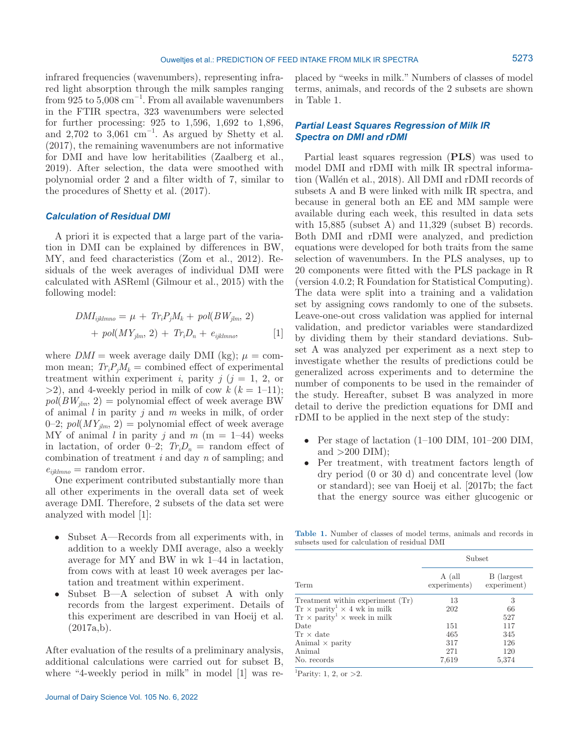infrared frequencies (wavenumbers), representing infrared light absorption through the milk samples ranging from  $925$  to  $5,008$  cm<sup>-1</sup>. From all available wavenumbers in the FTIR spectra, 323 wavenumbers were selected for further processing: 925 to 1,596, 1,692 to 1,896, and  $2,702$  to  $3,061$  cm<sup>-1</sup>. As argued by Shetty et al. (2017), the remaining wavenumbers are not informative for DMI and have low heritabilities (Zaalberg et al., 2019). After selection, the data were smoothed with polynomial order 2 and a filter width of 7, similar to the procedures of Shetty et al. (2017).

#### *Calculation of Residual DMI*

A priori it is expected that a large part of the variation in DMI can be explained by differences in BW, MY, and feed characteristics (Zom et al., 2012). Residuals of the week averages of individual DMI were calculated with ASReml (Gilmour et al., 2015) with the following model:

$$
DMI_{ijklmno} = \mu + Tr_i P_j M_k + pol(BW_{jlm}, 2)
$$
  
+ 
$$
pol(MY_{jlm}, 2) + Tr_i D_n + e_{ijklmno},
$$
 [1]

where  $DMI =$  week average daily DMI (kg);  $\mu =$  common mean;  $Tr_i P_i M_k$  = combined effect of experimental treatment within experiment *i*, parity  $j$  ( $j = 1, 2$ , or  $>2$ ), and 4-weekly period in milk of cow  $k (k = 1-11)$ ;  $pol(BW_{ilm}, 2) =$  polynomial effect of week average BW of animal *l* in parity *j* and *m* weeks in milk, of order 0–2;  $pol(MY_{jlm}, 2)$  = polynomial effect of week average MY of animal *l* in parity *j* and  $m$  (m = 1–44) weeks in lactation, of order  $0-2$ ;  $Tr_iD_n$  = random effect of combination of treatment *i* and day *n* of sampling; and  $e_{ijklmno}$  = random error.

One experiment contributed substantially more than all other experiments in the overall data set of week average DMI. Therefore, 2 subsets of the data set were analyzed with model [1]:

- Subset A—Records from all experiments with, in addition to a weekly DMI average, also a weekly average for MY and BW in wk 1–44 in lactation, from cows with at least 10 week averages per lactation and treatment within experiment.
- Subset B—A selection of subset A with only records from the largest experiment. Details of this experiment are described in van Hoeij et al.  $(2017a,b).$

After evaluation of the results of a preliminary analysis, additional calculations were carried out for subset B, where "4-weekly period in milk" in model [1] was replaced by "weeks in milk." Numbers of classes of model terms, animals, and records of the 2 subsets are shown in Table 1.

# *Partial Least Squares Regression of Milk IR Spectra on DMI and rDMI*

Partial least squares regression (**PLS**) was used to model DMI and rDMI with milk IR spectral information (Wallén et al., 2018). All DMI and rDMI records of subsets A and B were linked with milk IR spectra, and because in general both an EE and MM sample were available during each week, this resulted in data sets with  $15,885$  (subset A) and  $11,329$  (subset B) records. Both DMI and rDMI were analyzed, and prediction equations were developed for both traits from the same selection of wavenumbers. In the PLS analyses, up to 20 components were fitted with the PLS package in R (version 4.0.2; R Foundation for Statistical Computing). The data were split into a training and a validation set by assigning cows randomly to one of the subsets. Leave-one-out cross validation was applied for internal validation, and predictor variables were standardized by dividing them by their standard deviations. Subset A was analyzed per experiment as a next step to investigate whether the results of predictions could be generalized across experiments and to determine the number of components to be used in the remainder of the study. Hereafter, subset B was analyzed in more detail to derive the prediction equations for DMI and rDMI to be applied in the next step of the study:

- Per stage of lactation (1–100 DIM, 101–200 DIM, and  $>200$  DIM);
- Per treatment, with treatment factors length of dry period (0 or 30 d) and concentrate level (low or standard); see van Hoeij et al. [2017b; the fact that the energy source was either glucogenic or

**Table 1.** Number of classes of model terms, animals and records in subsets used for calculation of residual DMI

|                                                       | Subset                 |                            |  |  |
|-------------------------------------------------------|------------------------|----------------------------|--|--|
| Term                                                  | A (all<br>experiments) | B (largest)<br>experiment) |  |  |
| Treatment within experiment (Tr)                      | 13                     | 3                          |  |  |
| $Tr \times$ parity <sup>1</sup> $\times$ 4 wk in milk | 202                    | 66                         |  |  |
| $Tr \times$ parity <sup>1</sup> $\times$ week in milk |                        | 527                        |  |  |
| Date                                                  | 151                    | 117                        |  |  |
| $Tr \times$ date                                      | 465                    | 345                        |  |  |
| Animal $\times$ parity                                | 317                    | 126                        |  |  |
| Animal                                                | 271                    | 120                        |  |  |
| No. records                                           | 7,619                  | 5,374                      |  |  |

<sup>1</sup>Parity: 1, 2, or > 2.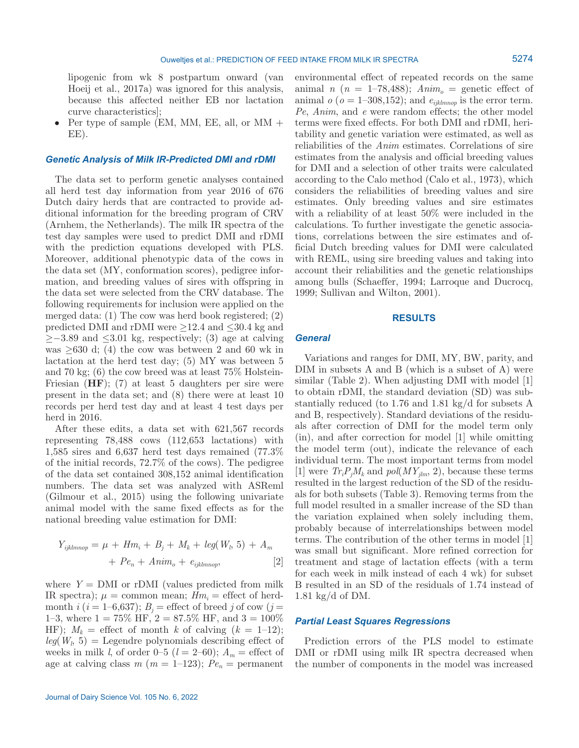lipogenic from wk 8 postpartum onward (van Hoeij et al., 2017a) was ignored for this analysis, because this affected neither EB nor lactation curve characteristics];

• Per type of sample (EM, MM, EE, all, or MM + EE).

#### *Genetic Analysis of Milk IR-Predicted DMI and rDMI*

The data set to perform genetic analyses contained all herd test day information from year 2016 of 676 Dutch dairy herds that are contracted to provide additional information for the breeding program of CRV (Arnhem, the Netherlands). The milk IR spectra of the test day samples were used to predict DMI and rDMI with the prediction equations developed with PLS. Moreover, additional phenotypic data of the cows in the data set (MY, conformation scores), pedigree information, and breeding values of sires with offspring in the data set were selected from the CRV database. The following requirements for inclusion were applied on the merged data: (1) The cow was herd book registered; (2) predicted DMI and rDMI were  $\geq$ 12.4 and  $\leq$ 30.4 kg and  $\geq$ −3.89 and  $\leq$ 3.01 kg, respectively; (3) age at calving was  $>630$  d; (4) the cow was between 2 and 60 wk in lactation at the herd test day; (5) MY was between 5 and 70 kg; (6) the cow breed was at least 75% Holstein-Friesian (**HF**); (7) at least 5 daughters per sire were present in the data set; and (8) there were at least 10 records per herd test day and at least 4 test days per herd in 2016.

After these edits, a data set with 621,567 records representing 78,488 cows (112,653 lactations) with 1,585 sires and 6,637 herd test days remained (77.3% of the initial records, 72.7% of the cows). The pedigree of the data set contained 308,152 animal identification numbers. The data set was analyzed with ASReml (Gilmour et al., 2015) using the following univariate animal model with the same fixed effects as for the national breeding value estimation for DMI:

$$
Y_{ijklmnop} = \mu + Hm_i + B_j + M_k + leg(W_l, 5) + A_m
$$
  
+ 
$$
Pe_n + Anim_o + e_{ijklmrop},
$$
 [2]

where  $Y = DMI$  or rDMI (values predicted from milk IR spectra);  $\mu = \text{common mean}$ ;  $Hm_i = \text{effect of herd}$ month *i* ( $i = 1-6,637$ );  $B_i$  = effect of breed *j* of cow ( $j =$ 1–3, where  $1 = 75\% \text{ HF}, 2 = 87.5\% \text{ HF}, \text{ and } 3 = 100\%$ HF);  $M_k$  = effect of month *k* of calving  $(k = 1-12)$ ;  $leg(W<sub>l</sub>, 5) = Legendre polynomials describing effect of$ weeks in milk *l*, of order 0–5 ( $l = 2$ –60);  $A_m$  = effect of age at calving class  $m (m = 1-123); Pe_n$  = permanent

environmental effect of repeated records on the same animal *n* ( $n = 1$ –78,488);  $Anim<sub>o</sub>$  = genetic effect of animal  $o$  ( $o = 1{\text -}308,152$ ); and  $e_{ijklm\text{loop}}$  is the error term. *Pe*, *Anim*, and *e* were random effects; the other model terms were fixed effects. For both DMI and rDMI, heritability and genetic variation were estimated, as well as reliabilities of the *Anim* estimates. Correlations of sire estimates from the analysis and official breeding values for DMI and a selection of other traits were calculated according to the Calo method (Calo et al., 1973), which considers the reliabilities of breeding values and sire estimates. Only breeding values and sire estimates with a reliability of at least 50% were included in the calculations. To further investigate the genetic associations, correlations between the sire estimates and official Dutch breeding values for DMI were calculated with REML, using sire breeding values and taking into account their reliabilities and the genetic relationships among bulls (Schaeffer, 1994; Larroque and Ducrocq, 1999; Sullivan and Wilton, 2001).

#### **RESULTS**

## *General*

Variations and ranges for DMI, MY, BW, parity, and DIM in subsets A and B (which is a subset of A) were similar (Table 2). When adjusting DMI with model [1] to obtain rDMI, the standard deviation (SD) was substantially reduced (to 1.76 and 1.81 kg/d for subsets A and B, respectively). Standard deviations of the residuals after correction of DMI for the model term only (in), and after correction for model [1] while omitting the model term (out), indicate the relevance of each individual term. The most important terms from model [1] were  $Tr_i P_j M_k$  and  $pol(MY_{jlm}, 2)$ , because these terms resulted in the largest reduction of the SD of the residuals for both subsets (Table 3). Removing terms from the full model resulted in a smaller increase of the SD than the variation explained when solely including them, probably because of interrelationships between model terms. The contribution of the other terms in model [1] was small but significant. More refined correction for treatment and stage of lactation effects (with a term for each week in milk instead of each 4 wk) for subset B resulted in an SD of the residuals of 1.74 instead of 1.81 kg/d of DM.

## *Partial Least Squares Regressions*

Prediction errors of the PLS model to estimate DMI or rDMI using milk IR spectra decreased when the number of components in the model was increased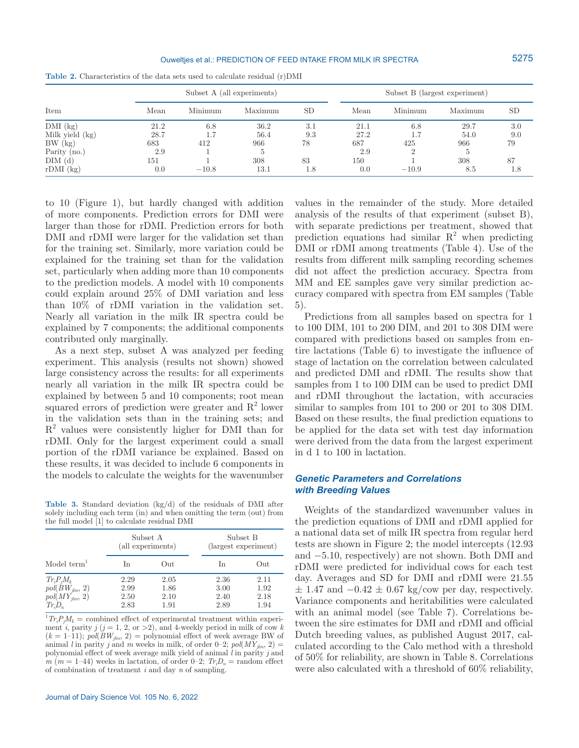#### Ouweltjes et al.: PREDICTION OF FEED INTAKE FROM MILK IR SPECTRA

|                 |      | Subset A (all experiments) |         |           | Subset B (largest experiment) |         |         |           |
|-----------------|------|----------------------------|---------|-----------|-------------------------------|---------|---------|-----------|
| Item            | Mean | Minimum                    | Maximum | <b>SD</b> | Mean                          | Minimum | Maximum | <b>SD</b> |
| $DMI$ (kg)      | 21.2 | 6.8                        | 36.2    | 3.1       | 21.1                          | 6.8     | 29.7    | 3.0       |
| Milk yield (kg) | 28.7 |                            | 56.4    | 9.3       | 27.2                          | $\pm$ . | 54.0    | 9.0       |
| BW (kg)         | 683  | 412                        | 966     | 78        | 687                           | 425     | 966     | 79        |
| Parity $(no.)$  | 2.9  |                            |         |           | 2.9                           |         |         |           |
| DIM (d)         | 151  |                            | 308     | 83        | 150                           |         | 308     | 87        |
| $rDMI$ (kg)     | 0.0  | $-10.8$                    | 13.1    | 1.8       | 0.0                           | $-10.9$ | 8.5     | 1.8       |

**Table 2.** Characteristics of the data sets used to calculate residual (r)DMI

to 10 (Figure 1), but hardly changed with addition of more components. Prediction errors for DMI were larger than those for rDMI. Prediction errors for both DMI and rDMI were larger for the validation set than for the training set. Similarly, more variation could be explained for the training set than for the validation set, particularly when adding more than 10 components to the prediction models. A model with 10 components could explain around 25% of DMI variation and less than 10% of rDMI variation in the validation set. Nearly all variation in the milk IR spectra could be explained by 7 components; the additional components contributed only marginally.

As a next step, subset A was analyzed per feeding experiment. This analysis (results not shown) showed large consistency across the results: for all experiments nearly all variation in the milk IR spectra could be explained by between 5 and 10 components; root mean squared errors of prediction were greater and  $R^2$  lower in the validation sets than in the training sets; and  $R<sup>2</sup>$  values were consistently higher for DMI than for rDMI. Only for the largest experiment could a small portion of the rDMI variance be explained. Based on these results, it was decided to include 6 components in the models to calculate the weights for the wavenumber

**Table 3.** Standard deviation (kg/d) of the residuals of DMI after solely including each term (in) and when omitting the term (out) from the full model [1] to calculate residual DMI

|                                                                          | Subset A<br>(all experiments) |                              | Subset B<br>(largest experiment) |                              |  |
|--------------------------------------------------------------------------|-------------------------------|------------------------------|----------------------------------|------------------------------|--|
| Model term <sup>1</sup>                                                  | <b>I</b> n                    | Out                          | <b>I</b> n                       | Out                          |  |
| $Tr_i P_i M_k$<br>$pol(BW_{jlm}, 2)$<br>$pol(MY_{jlm}, 2)$<br>$Tr_i D_n$ | 2.29<br>2.99<br>2.50<br>2.83  | 2.05<br>1.86<br>2.10<br>1.91 | 2.36<br>3.00<br>2.40<br>2.89     | 2.11<br>1.92<br>2.18<br>1.94 |  |

 ${}^{1}Tr_{i}P_{j}M_{k}$  = combined effect of experimental treatment within experiment *i*, parity  $j$  ( $j = 1, 2,$  or  $>2$ ), and 4-weekly period in milk of cow *k*  $(k = 1-11)$ ;  $pol(BW_{lim}, 2)$  = polynomial effect of week average BW of animal *l* in parity *j* and *m* weeks in milk, of order 0–2;  $pol(MY_{jlm}, 2)$  = polynomial effect of week average milk yield of animal *l* in parity *j* and  $m(m = 1-44)$  weeks in lactation, of order 0–2;  $Tr_iD_n = \text{random effect}$ of combination of treatment *i* and day *n* of sampling.

values in the remainder of the study. More detailed analysis of the results of that experiment (subset B), with separate predictions per treatment, showed that prediction equations had similar  $R^2$  when predicting DMI or rDMI among treatments (Table 4). Use of the results from different milk sampling recording schemes did not affect the prediction accuracy. Spectra from MM and EE samples gave very similar prediction accuracy compared with spectra from EM samples (Table 5).

Predictions from all samples based on spectra for 1 to 100 DIM, 101 to 200 DIM, and 201 to 308 DIM were compared with predictions based on samples from entire lactations (Table 6) to investigate the influence of stage of lactation on the correlation between calculated and predicted DMI and rDMI. The results show that samples from 1 to 100 DIM can be used to predict DMI and rDMI throughout the lactation, with accuracies similar to samples from 101 to 200 or 201 to 308 DIM. Based on these results, the final prediction equations to be applied for the data set with test day information were derived from the data from the largest experiment in d 1 to 100 in lactation.

# *Genetic Parameters and Correlations with Breeding Values*

Weights of the standardized wavenumber values in the prediction equations of DMI and rDMI applied for a national data set of milk IR spectra from regular herd tests are shown in Figure 2; the model intercepts (12.93 and −5.10, respectively) are not shown. Both DMI and rDMI were predicted for individual cows for each test day. Averages and SD for DMI and rDMI were 21.55  $\pm$  1.47 and  $-0.42 \pm 0.67$  kg/cow per day, respectively. Variance components and heritabilities were calculated with an animal model (see Table 7). Correlations between the sire estimates for DMI and rDMI and official Dutch breeding values, as published August 2017, calculated according to the Calo method with a threshold of 50% for reliability, are shown in Table 8. Correlations were also calculated with a threshold of 60% reliability,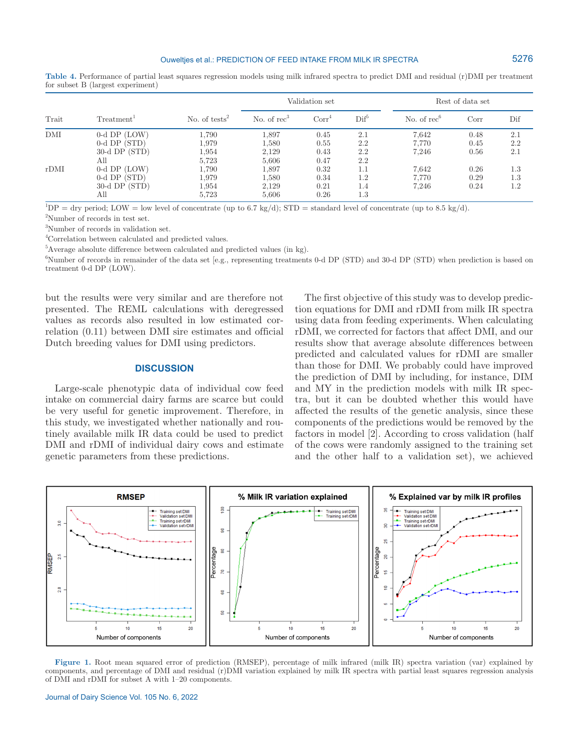**Table 4.** Performance of partial least squares regression models using milk infrared spectra to predict DMI and residual (r)DMI per treatment for subset B (largest experiment)

| Trait |                        |                  | Validation set |                   |                      | Rest of data set |                                                          |     |
|-------|------------------------|------------------|----------------|-------------------|----------------------|------------------|----------------------------------------------------------|-----|
|       | Treatment <sup>1</sup> | No. of $tests^2$ | No. of $rec3$  | Corr <sup>4</sup> | $\mathrm{Dif}^\circ$ | No. of $rec6$    | Dif<br>Corr<br>0.48<br>2.1<br>2.2<br>0.45<br>2.1<br>0.56 |     |
| DMI   | $0-d$ DP $(LOW)$       | 1.790            | 1,897          | 0.45              | 2.1                  | 7.642            |                                                          |     |
|       | $0-d$ DP $(STD)$       | 1,979            | 1,580          | 0.55              | 2.2                  | 7.770            |                                                          |     |
|       | $30-d$ DP $(STD)$      | 1,954            | 2,129          | 0.43              | 2.2                  | 7.246            |                                                          |     |
|       | All                    | 5,723            | 5,606          | 0.47              | 2.2                  |                  |                                                          |     |
| rDMI  | $0-d$ DP $(LOW)$       | 1,790            | 1,897          | 0.32              | 1.1                  | 7.642            | 0.26                                                     | 1.3 |
|       | $0-d$ DP $(STD)$       | 1,979            | 1,580          | 0.34              | 1.2                  | 7.770            | 0.29                                                     | 1.3 |
|       | $30-d$ DP $(STD)$      | 1,954            | 2,129          | 0.21              | 1.4                  | 7.246            | 0.24                                                     | 1.2 |
|       | Аll                    | 5.723            | 5.606          | 0.26              | 1.3                  |                  |                                                          |     |

 ${}^{1}DP = \text{dry period}$ ; LOW = low level of concentrate (up to 6.7 kg/d); STD = standard level of concentrate (up to 8.5 kg/d).

2 Number of records in test set.

3 Number of records in validation set.

4 Correlation between calculated and predicted values.

<sup>5</sup>Average absolute difference between calculated and predicted values (in kg).

6 Number of records in remainder of the data set [e.g., representing treatments 0-d DP (STD) and 30-d DP (STD) when prediction is based on treatment 0-d DP (LOW).

but the results were very similar and are therefore not presented. The REML calculations with deregressed values as records also resulted in low estimated correlation (0.11) between DMI sire estimates and official Dutch breeding values for DMI using predictors.

#### **DISCUSSION**

Large-scale phenotypic data of individual cow feed intake on commercial dairy farms are scarce but could be very useful for genetic improvement. Therefore, in this study, we investigated whether nationally and routinely available milk IR data could be used to predict DMI and rDMI of individual dairy cows and estimate genetic parameters from these predictions.

The first objective of this study was to develop prediction equations for DMI and rDMI from milk IR spectra using data from feeding experiments. When calculating rDMI, we corrected for factors that affect DMI, and our results show that average absolute differences between predicted and calculated values for rDMI are smaller than those for DMI. We probably could have improved the prediction of DMI by including, for instance, DIM and MY in the prediction models with milk IR spectra, but it can be doubted whether this would have affected the results of the genetic analysis, since these components of the predictions would be removed by the factors in model [2]. According to cross validation (half of the cows were randomly assigned to the training set and the other half to a validation set), we achieved



**Figure 1.** Root mean squared error of prediction (RMSEP), percentage of milk infrared (milk IR) spectra variation (var) explained by components, and percentage of DMI and residual (r)DMI variation explained by milk IR spectra with partial least squares regression analysis of DMI and rDMI for subset A with 1–20 components.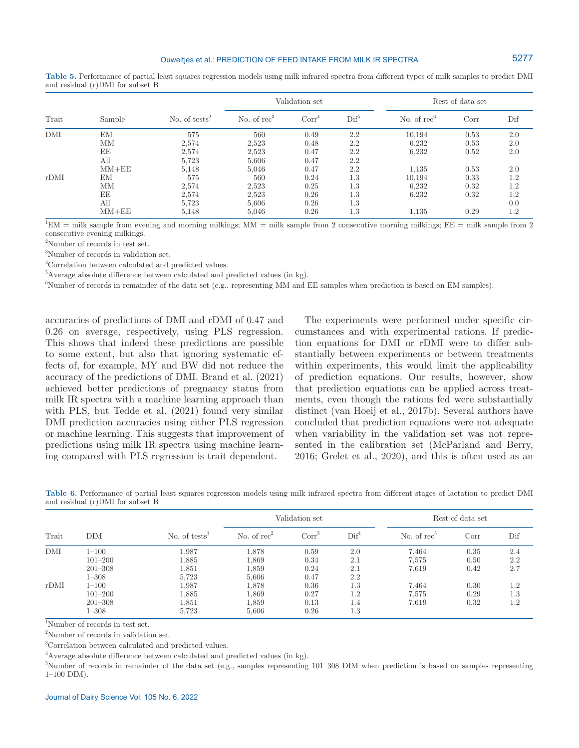**Table 5.** Performance of partial least squares regression models using milk infrared spectra from different types of milk samples to predict DMI and residual (r)DMI for subset B

|       |                     | No. of tests <sup>2</sup> | Validation set |                   |                  | Rest of data set |      |     |
|-------|---------------------|---------------------------|----------------|-------------------|------------------|------------------|------|-----|
| Trait | Sample <sup>1</sup> |                           | No. of $rec3$  | Corr <sup>4</sup> | $\mathrm{Dif}^5$ | No. of $rec6$    | Corr | Dif |
| DMI   | EM                  | 575                       | 560            | 0.49              | 2.2              | 10,194           | 0.53 | 2.0 |
|       | MМ                  | 2,574                     | 2.523          | 0.48              | 2.2              | 6,232            | 0.53 | 2.0 |
|       | ΕE                  | 2,574                     | 2,523          | 0.47              | 2.2              | 6.232            | 0.52 | 2.0 |
|       | All                 | 5,723                     | 5,606          | 0.47              | 2.2              |                  |      |     |
|       | $MM+EE$             | 5,148                     | 5,046          | 0.47              | 2.2              | 1,135            | 0.53 | 2.0 |
| rDMI  | ΕM                  | 575                       | 560            | 0.24              | 1.3              | 10,194           | 0.33 | 1.2 |
|       | MМ                  | 2,574                     | 2,523          | 0.25              | 1.3              | 6.232            | 0.32 | 1.2 |
|       | EE                  | 2,574                     | 2,523          | 0.26              | 1.3              | 6.232            | 0.32 | 1.2 |
|       | All                 | 5.723                     | 5,606          | 0.26              | 1.3              |                  |      | 0.0 |
|       | $MM+EE$             | 5,148                     | 5,046          | 0.26              | 1.3              | 1,135            | 0.29 | 1.2 |

 ${}^{1}$ EM = milk sample from evening and morning milkings; MM = milk sample from 2 consecutive morning milkings; EE = milk sample from 2 consecutive evening milkings.

2 Number of records in test set.

3 Number of records in validation set.

4 Correlation between calculated and predicted values.

<sup>5</sup>Average absolute difference between calculated and predicted values (in kg).

6 Number of records in remainder of the data set (e.g., representing MM and EE samples when prediction is based on EM samples).

accuracies of predictions of DMI and rDMI of 0.47 and 0.26 on average, respectively, using PLS regression. This shows that indeed these predictions are possible to some extent, but also that ignoring systematic effects of, for example, MY and BW did not reduce the accuracy of the predictions of DMI. Brand et al. (2021) achieved better predictions of pregnancy status from milk IR spectra with a machine learning approach than with PLS, but Tedde et al. (2021) found very similar DMI prediction accuracies using either PLS regression or machine learning. This suggests that improvement of predictions using milk IR spectra using machine learning compared with PLS regression is trait dependent.

The experiments were performed under specific circumstances and with experimental rations. If prediction equations for DMI or rDMI were to differ substantially between experiments or between treatments within experiments, this would limit the applicability of prediction equations. Our results, however, show that prediction equations can be applied across treatments, even though the rations fed were substantially distinct (van Hoeij et al., 2017b). Several authors have concluded that prediction equations were not adequate when variability in the validation set was not represented in the calibration set (McParland and Berry, 2016; Grelet et al., 2020), and this is often used as an

**Table 6.** Performance of partial least squares regression models using milk infrared spectra from different stages of lactation to predict DMI and residual (r)DMI for subset B

|       |             |                                        | Validation set |                   |                  |                | Rest of data set |     |  |
|-------|-------------|----------------------------------------|----------------|-------------------|------------------|----------------|------------------|-----|--|
| Trait | DІМ         | No. of tests <sup><math>1</math></sup> | No. of $rec2$  | Corr <sup>3</sup> | $\mathrm{Dif}^4$ | No. of $rec^5$ | Corr             | Dif |  |
| DMI   | $1 - 100$   | 1,987                                  | 1,878          | 0.59              | 2.0              | 7.464          | 0.35             | 2.4 |  |
|       | $101 - 200$ | 1,885                                  | 1,869          | 0.34              | 2.1              | 7,575          | 0.50             | 2.2 |  |
|       | $201 - 308$ | 1,851                                  | 1,859          | 0.24              | 2.1              | 7,619          | 0.42             | 2.7 |  |
|       | $1 - 308$   | 5,723                                  | 5,606          | 0.47              | 2.2              |                |                  |     |  |
| rDMI  | $1 - 100$   | 1,987                                  | 1,878          | 0.36              | 1.3              | 7.464          | 0.30             | 1.2 |  |
|       | $101 - 200$ | 1,885                                  | 1,869          | 0.27              | $1.2\,$          | 7,575          | 0.29             | 1.3 |  |
|       | $201 - 308$ | 1,851                                  | 1,859          | 0.13              | 1.4              | 7,619          | 0.32             | 1.2 |  |
|       | $1 - 308$   | 5,723                                  | 5,606          | 0.26              | 1.3              |                |                  |     |  |

1 Number of records in test set.

2 Number of records in validation set.

3 Correlation between calculated and predicted values.

<sup>4</sup>Average absolute difference between calculated and predicted values (in kg).

5 Number of records in remainder of the data set (e.g., samples representing 101–308 DIM when prediction is based on samples representing 1–100 DIM).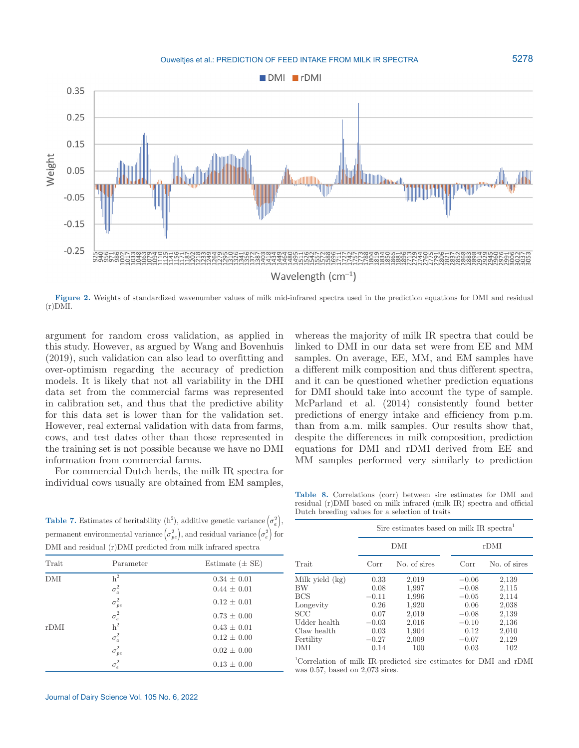

**Figure 2.** Weights of standardized wavenumber values of milk mid-infrared spectra used in the prediction equations for DMI and residual (r)DMI.

argument for random cross validation, as applied in this study. However, as argued by Wang and Bovenhuis (2019), such validation can also lead to overfitting and over-optimism regarding the accuracy of prediction models. It is likely that not all variability in the DHI data set from the commercial farms was represented in calibration set, and thus that the predictive ability for this data set is lower than for the validation set. However, real external validation with data from farms, cows, and test dates other than those represented in the training set is not possible because we have no DMI information from commercial farms.

For commercial Dutch herds, the milk IR spectra for individual cows usually are obtained from EM samples,

whereas the majority of milk IR spectra that could be linked to DMI in our data set were from EE and MM samples. On average, EE, MM, and EM samples have a different milk composition and thus different spectra, and it can be questioned whether prediction equations for DMI should take into account the type of sample. McParland et al. (2014) consistently found better predictions of energy intake and efficiency from p.m. than from a.m. milk samples. Our results show that, despite the differences in milk composition, prediction equations for DMI and rDMI derived from EE and MM samples performed very similarly to prediction

**Table 7.** Estimates of heritability  $(h^2)$ , additive genetic variance  $(\sigma_a^2)$ , permanent environmental variance  $(\sigma_{pe}^2)$ , and residual variance  $(\sigma_e^2)$  for DMI and residual (r)DMI predicted from milk infrared spectra

| Trait | Parameter                    | Estimate $(\pm$ SE)                |
|-------|------------------------------|------------------------------------|
| DMI   | $\mbox{h}^2$<br>$\sigma_a^2$ | $0.34 \pm 0.01$<br>$0.44 \pm 0.01$ |
|       | $\sigma_{\it pe}^2$          | $0.12 \pm 0.01$                    |
|       | $\sigma_e^2$ h <sup>2</sup>  | $0.73 \pm 0.00$                    |
| rDMI  |                              | $0.43 \pm 0.01$                    |
|       | $\sigma_a^2$                 | $0.12 \pm 0.00$                    |
|       | $\sigma_{pe}^2$              | $0.02 \pm 0.00$                    |
|       | $\sigma_e^2$                 | $0.13 \pm 0.00$                    |
|       |                              |                                    |

**Table 8.** Correlations (corr) between sire estimates for DMI and residual (r)DMI based on milk infrared (milk IR) spectra and official Dutch breeding values for a selection of traits

|                 | Sire estimates based on milk IR spectra <sup>1</sup> |              |         |              |  |  |  |
|-----------------|------------------------------------------------------|--------------|---------|--------------|--|--|--|
|                 |                                                      | DMI          | rDMI    |              |  |  |  |
| Trait           | Corr                                                 | No. of sires | Corr    | No. of sires |  |  |  |
| Milk yield (kg) | 0.33                                                 | 2,019        | $-0.06$ | 2,139        |  |  |  |
| BW              | 0.08                                                 | 1,997        | $-0.08$ | 2,115        |  |  |  |
| <b>BCS</b>      | $-0.11$                                              | 1,996        | $-0.05$ | 2,114        |  |  |  |
| Longevity       | 0.26                                                 | 1,920        | 0.06    | 2,038        |  |  |  |
| <b>SCC</b>      | 0.07                                                 | 2,019        | $-0.08$ | 2,139        |  |  |  |
| Udder health    | $-0.03$                                              | 2,016        | $-0.10$ | 2,136        |  |  |  |
| Claw health     | 0.03                                                 | 1,904        | 0.12    | 2,010        |  |  |  |
| Fertility       | $-0.27$                                              | 2,009        | $-0.07$ | 2,129        |  |  |  |
| DMI             | 0.14                                                 | 100          | 0.03    | 102          |  |  |  |

1 Correlation of milk IR-predicted sire estimates for DMI and rDMI was 0.57, based on 2,073 sires.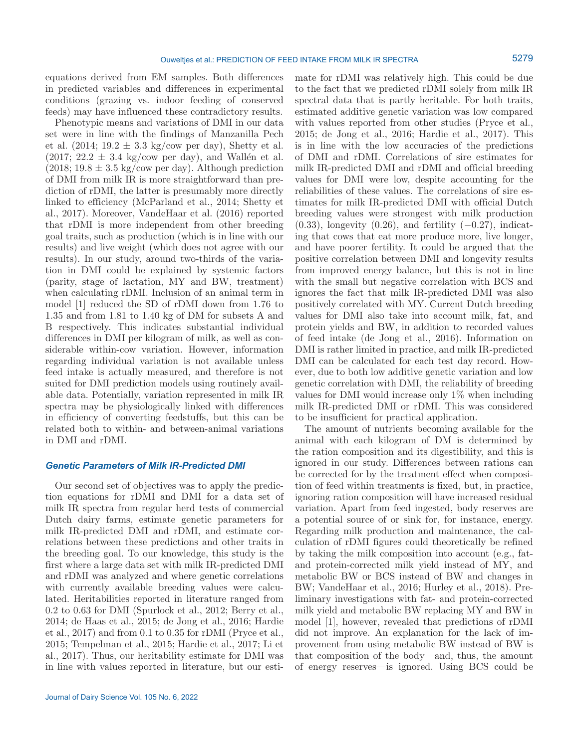equations derived from EM samples. Both differences in predicted variables and differences in experimental conditions (grazing vs. indoor feeding of conserved feeds) may have influenced these contradictory results.

Phenotypic means and variations of DMI in our data set were in line with the findings of Manzanilla Pech et al.  $(2014; 19.2 \pm 3.3 \text{ kg/cow per day})$ , Shetty et al.  $(2017; 22.2 \pm 3.4 \text{ kg/cow per day})$ , and Wallén et al.  $(2018; 19.8 \pm 3.5 \text{ kg/cow per day})$ . Although prediction of DMI from milk IR is more straightforward than prediction of rDMI, the latter is presumably more directly linked to efficiency (McParland et al., 2014; Shetty et al., 2017). Moreover, VandeHaar et al. (2016) reported that rDMI is more independent from other breeding goal traits, such as production (which is in line with our results) and live weight (which does not agree with our results). In our study, around two-thirds of the variation in DMI could be explained by systemic factors (parity, stage of lactation, MY and BW, treatment) when calculating rDMI. Inclusion of an animal term in model [1] reduced the SD of rDMI down from 1.76 to 1.35 and from 1.81 to 1.40 kg of DM for subsets A and B respectively. This indicates substantial individual differences in DMI per kilogram of milk, as well as considerable within-cow variation. However, information regarding individual variation is not available unless feed intake is actually measured, and therefore is not suited for DMI prediction models using routinely available data. Potentially, variation represented in milk IR spectra may be physiologically linked with differences in efficiency of converting feedstuffs, but this can be related both to within- and between-animal variations in DMI and rDMI.

#### *Genetic Parameters of Milk IR-Predicted DMI*

Our second set of objectives was to apply the prediction equations for rDMI and DMI for a data set of milk IR spectra from regular herd tests of commercial Dutch dairy farms, estimate genetic parameters for milk IR-predicted DMI and rDMI, and estimate correlations between these predictions and other traits in the breeding goal. To our knowledge, this study is the first where a large data set with milk IR-predicted DMI and rDMI was analyzed and where genetic correlations with currently available breeding values were calculated. Heritabilities reported in literature ranged from 0.2 to 0.63 for DMI (Spurlock et al., 2012; Berry et al., 2014; de Haas et al., 2015; de Jong et al., 2016; Hardie et al., 2017) and from 0.1 to 0.35 for rDMI (Pryce et al., 2015; Tempelman et al., 2015; Hardie et al., 2017; Li et al., 2017). Thus, our heritability estimate for DMI was in line with values reported in literature, but our esti-

mate for rDMI was relatively high. This could be due to the fact that we predicted rDMI solely from milk IR spectral data that is partly heritable. For both traits, estimated additive genetic variation was low compared with values reported from other studies (Pryce et al., 2015; de Jong et al., 2016; Hardie et al., 2017). This is in line with the low accuracies of the predictions of DMI and rDMI. Correlations of sire estimates for milk IR-predicted DMI and rDMI and official breeding values for DMI were low, despite accounting for the reliabilities of these values. The correlations of sire estimates for milk IR-predicted DMI with official Dutch breeding values were strongest with milk production  $(0.33)$ , longevity  $(0.26)$ , and fertility  $(-0.27)$ , indicating that cows that eat more produce more, live longer, and have poorer fertility. It could be argued that the positive correlation between DMI and longevity results from improved energy balance, but this is not in line with the small but negative correlation with BCS and ignores the fact that milk IR-predicted DMI was also positively correlated with MY. Current Dutch breeding values for DMI also take into account milk, fat, and protein yields and BW, in addition to recorded values of feed intake (de Jong et al., 2016). Information on DMI is rather limited in practice, and milk IR-predicted DMI can be calculated for each test day record. However, due to both low additive genetic variation and low genetic correlation with DMI, the reliability of breeding values for DMI would increase only 1% when including milk IR-predicted DMI or rDMI. This was considered to be insufficient for practical application.

The amount of nutrients becoming available for the animal with each kilogram of DM is determined by the ration composition and its digestibility, and this is ignored in our study. Differences between rations can be corrected for by the treatment effect when composition of feed within treatments is fixed, but, in practice, ignoring ration composition will have increased residual variation. Apart from feed ingested, body reserves are a potential source of or sink for, for instance, energy. Regarding milk production and maintenance, the calculation of rDMI figures could theoretically be refined by taking the milk composition into account (e.g., fatand protein-corrected milk yield instead of MY, and metabolic BW or BCS instead of BW and changes in BW; VandeHaar et al., 2016; Hurley et al., 2018). Preliminary investigations with fat- and protein-corrected milk yield and metabolic BW replacing MY and BW in model [1], however, revealed that predictions of rDMI did not improve. An explanation for the lack of improvement from using metabolic BW instead of BW is that composition of the body—and, thus, the amount of energy reserves—is ignored. Using BCS could be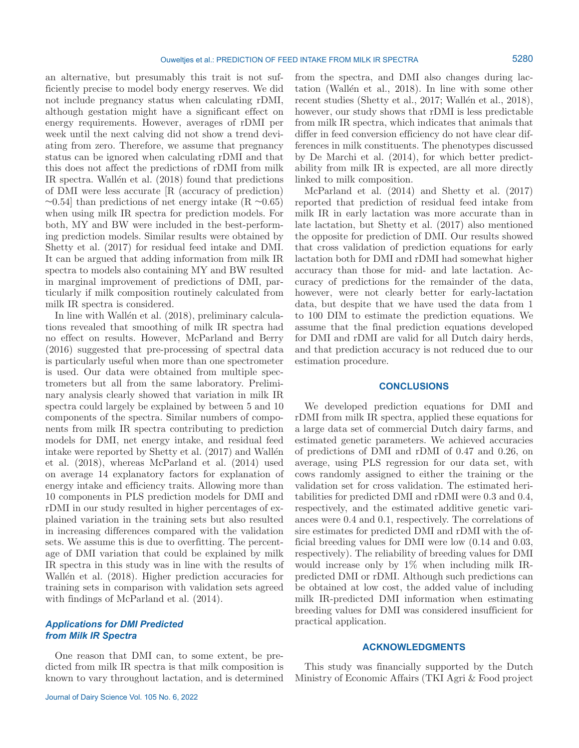an alternative, but presumably this trait is not sufficiently precise to model body energy reserves. We did not include pregnancy status when calculating rDMI, although gestation might have a significant effect on energy requirements. However, averages of rDMI per week until the next calving did not show a trend deviating from zero. Therefore, we assume that pregnancy status can be ignored when calculating rDMI and that this does not affect the predictions of rDMI from milk IR spectra. Wallén et al. (2018) found that predictions of DMI were less accurate [R (accuracy of prediction)  $\sim$ 0.54] than predictions of net energy intake (R  $\sim$ 0.65) when using milk IR spectra for prediction models. For both, MY and BW were included in the best-performing prediction models. Similar results were obtained by Shetty et al. (2017) for residual feed intake and DMI. It can be argued that adding information from milk IR spectra to models also containing MY and BW resulted in marginal improvement of predictions of DMI, particularly if milk composition routinely calculated from milk IR spectra is considered.

In line with Wallén et al. (2018), preliminary calculations revealed that smoothing of milk IR spectra had no effect on results. However, McParland and Berry (2016) suggested that pre-processing of spectral data is particularly useful when more than one spectrometer is used. Our data were obtained from multiple spectrometers but all from the same laboratory. Preliminary analysis clearly showed that variation in milk IR spectra could largely be explained by between 5 and 10 components of the spectra. Similar numbers of components from milk IR spectra contributing to prediction models for DMI, net energy intake, and residual feed intake were reported by Shetty et al. (2017) and Wallén et al. (2018), whereas McParland et al. (2014) used on average 14 explanatory factors for explanation of energy intake and efficiency traits. Allowing more than 10 components in PLS prediction models for DMI and rDMI in our study resulted in higher percentages of explained variation in the training sets but also resulted in increasing differences compared with the validation sets. We assume this is due to overfitting. The percentage of DMI variation that could be explained by milk IR spectra in this study was in line with the results of Wallén et al. (2018). Higher prediction accuracies for training sets in comparison with validation sets agreed with findings of McParland et al.  $(2014)$ .

# *Applications for DMI Predicted from Milk IR Spectra*

One reason that DMI can, to some extent, be predicted from milk IR spectra is that milk composition is known to vary throughout lactation, and is determined from the spectra, and DMI also changes during lactation (Wallén et al., 2018). In line with some other recent studies (Shetty et al., 2017; Wallén et al., 2018), however, our study shows that rDMI is less predictable from milk IR spectra, which indicates that animals that differ in feed conversion efficiency do not have clear differences in milk constituents. The phenotypes discussed by De Marchi et al. (2014), for which better predictability from milk IR is expected, are all more directly linked to milk composition.

McParland et al. (2014) and Shetty et al. (2017) reported that prediction of residual feed intake from milk IR in early lactation was more accurate than in late lactation, but Shetty et al. (2017) also mentioned the opposite for prediction of DMI. Our results showed that cross validation of prediction equations for early lactation both for DMI and rDMI had somewhat higher accuracy than those for mid- and late lactation. Accuracy of predictions for the remainder of the data, however, were not clearly better for early-lactation data, but despite that we have used the data from 1 to 100 DIM to estimate the prediction equations. We assume that the final prediction equations developed for DMI and rDMI are valid for all Dutch dairy herds, and that prediction accuracy is not reduced due to our estimation procedure.

#### **CONCLUSIONS**

We developed prediction equations for DMI and rDMI from milk IR spectra, applied these equations for a large data set of commercial Dutch dairy farms, and estimated genetic parameters. We achieved accuracies of predictions of DMI and rDMI of 0.47 and 0.26, on average, using PLS regression for our data set, with cows randomly assigned to either the training or the validation set for cross validation. The estimated heritabilities for predicted DMI and rDMI were 0.3 and 0.4, respectively, and the estimated additive genetic variances were 0.4 and 0.1, respectively. The correlations of sire estimates for predicted DMI and rDMI with the official breeding values for DMI were low (0.14 and 0.03, respectively). The reliability of breeding values for DMI would increase only by 1% when including milk IRpredicted DMI or rDMI. Although such predictions can be obtained at low cost, the added value of including milk IR-predicted DMI information when estimating breeding values for DMI was considered insufficient for practical application.

## **ACKNOWLEDGMENTS**

This study was financially supported by the Dutch Ministry of Economic Affairs (TKI Agri & Food project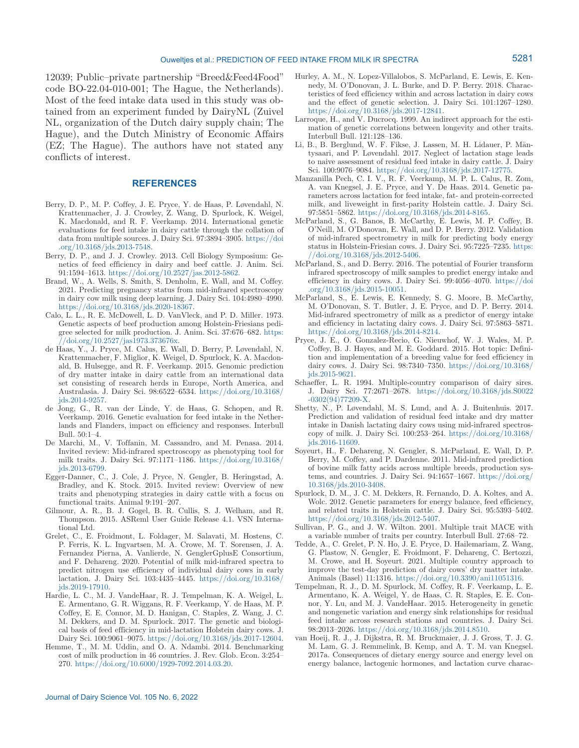12039; Public–private partnership "Breed&Feed4Food" code BO-22.04-010-001; The Hague, the Netherlands). Most of the feed intake data used in this study was obtained from an experiment funded by DairyNL (Zuivel NL, organization of the Dutch dairy supply chain; The Hague), and the Dutch Ministry of Economic Affairs (EZ; The Hague). The authors have not stated any conflicts of interest.

## **REFERENCES**

- Berry, D. P., M. P. Coffey, J. E. Pryce, Y. de Haas, P. Løvendahl, N. Krattenmacher, J. J. Crowley, Z. Wang, D. Spurlock, K. Weigel, K. Macdonald, and R. F. Veerkamp. 2014. International genetic evaluations for feed intake in dairy cattle through the collation of data from multiple sources. J. Dairy Sci. 97:3894–3905. [https://doi](https://doi.org/10.3168/jds.2013-7548) [.org/10.3168/jds.2013-7548](https://doi.org/10.3168/jds.2013-7548).
- Berry, D. P., and J. J. Crowley. 2013. Cell Biology Symposium: Genetics of feed efficiency in dairy and beef cattle. J. Anim. Sci. 91:1594–1613. [https://doi.org/10.2527/jas.2012-5862.](https://doi.org/10.2527/jas.2012-5862)
- Brand, W., A. Wells, S. Smith, S. Denholm, E. Wall, and M. Coffey. 2021. Predicting pregnancy status from mid-infrared spectroscopy in dairy cow milk using deep learning. J. Dairy Sci. 104:4980–4990. [https://doi.org/10.3168/jds.2020-18367.](https://doi.org/10.3168/jds.2020-18367)
- Calo, L. L., R. E. McDowell, L. D. VanVleck, and P. D. Miller. 1973. Genetic aspects of beef production among Holstein-Friesians pedigree selected for milk production. J. Anim. Sci. 37:676–682. [https:](https://doi.org/10.2527/jas1973.373676x) [//doi.org/10.2527/jas1973.373676x](https://doi.org/10.2527/jas1973.373676x).
- de Haas, Y., J. Pryce, M. Calus, E. Wall, D. Berry, P. Løvendahl, N. Krattenmacher, F. Miglior, K. Weigel, D. Spurlock, K. A. Macdonald, B. Hulsegge, and R. F. Veerkamp. 2015. Genomic prediction of dry matter intake in dairy cattle from an international data set consisting of research herds in Europe, North America, and Australasia. J. Dairy Sci. 98:6522–6534. [https://doi.org/10.3168/](https://doi.org/10.3168/jds.2014-9257) [jds.2014-9257](https://doi.org/10.3168/jds.2014-9257).
- de Jong, G., R. van der Linde, Y. de Haas, G. Schopen, and R. Veerkamp. 2016. Genetic evaluation for feed intake in the Netherlands and Flanders, impact on efficiency and responses. Interbull Bull. 50:1–4.
- De Marchi, M., V. Toffanin, M. Cassandro, and M. Penasa. 2014. Invited review: Mid-infrared spectroscopy as phenotyping tool for milk traits. J. Dairy Sci. 97:1171–1186. [https://doi.org/10.3168/](https://doi.org/10.3168/jds.2013-6799) [jds.2013-6799](https://doi.org/10.3168/jds.2013-6799).
- Egger-Danner, C., J. Cole, J. Pryce, N. Gengler, B. Heringstad, A. Bradley, and K. Stock. 2015. Invited review: Overview of new traits and phenotyping strategies in dairy cattle with a focus on functional traits. Animal 9:191–207.
- Gilmour, A. R., B. J. Gogel, B. R. Cullis, S. J. Welham, and R. Thompson. 2015. ASReml User Guide Release 4.1. VSN International Ltd.
- Grelet, C., E. Froidmont, L. Foldager, M. Salavati, M. Hostens, C. P. Ferris, K. L. Ingvartsen, M. A. Crowe, M. T. Sorensen, J. A. Fernandez Pierna, A. Vanlierde, N. GenglerGplusE Consortium, and F. Dehareng. 2020. Potential of milk mid-infrared spectra to predict nitrogen use efficiency of individual dairy cows in early lactation. J. Dairy Sci. 103:4435–4445. [https://doi.org/10.3168/](https://doi.org/10.3168/jds.2019-17910) [jds.2019-17910.](https://doi.org/10.3168/jds.2019-17910)
- Hardie, L. C., M. J. VandeHaar, R. J. Tempelman, K. A. Weigel, L. E. Armentano, G. R. Wiggans, R. F. Veerkamp, Y. de Haas, M. P. Coffey, E. E. Connor, M. D. Hanigan, C. Staples, Z. Wang, J. C. M. Dekkers, and D. M. Spurlock. 2017. The genetic and biological basis of feed efficiency in mid-lactation Holstein dairy cows. J. Dairy Sci. 100:9061–9075. [https://doi.org/10.3168/jds.2017-12604.](https://doi.org/10.3168/jds.2017-12604)
- Hemme, T., M. M. Uddin, and O. A. Ndambi. 2014. Benchmarking cost of milk production in 46 countries. J. Rev. Glob. Econ. 3:254– 270.<https://doi.org/10.6000/1929-7092.2014.03.20>.
- Hurley, A. M., N. Lopez-Villalobos, S. McParland, E. Lewis, E. Kennedy, M. O'Donovan, J. L. Burke, and D. P. Berry. 2018. Characteristics of feed efficiency within and across lactation in dairy cows and the effect of genetic selection. J. Dairy Sci. 101:1267–1280. [https://doi.org/10.3168/jds.2017-12841.](https://doi.org/10.3168/jds.2017-12841)
- Larroque, H., and V. Ducrocq. 1999. An indirect approach for the estimation of genetic correlations between longevity and other traits. Interbull Bull. 121:128–136.
- Li, B., B. Berglund, W. F. Fikse, J. Lassen, M. H. Lidauer, P. Mäntysaari, and P. Løvendahl. 2017. Neglect of lactation stage leads to naive assessment of residual feed intake in dairy cattle. J. Dairy Sci. 100:9076–9084.<https://doi.org/10.3168/jds.2017-12775>.
- Manzanilla Pech, C. I. V., R. F. Veerkamp, M. P. L. Calus, R. Zom, A. van Knegsel, J. E. Pryce, and Y. De Haas. 2014. Genetic parameters across lactation for feed intake, fat- and protein-corrected milk, and liveweight in first-parity Holstein cattle. J. Dairy Sci. 97:5851–5862. <https://doi.org/10.3168/jds.2014-8165>.
- McParland, S., G. Banos, B. McCarthy, E. Lewis, M. P. Coffey, B. O'Neill, M. O'Donovan, E. Wall, and D. P. Berry. 2012. Validation of mid-infrared spectrometry in milk for predicting body energy status in Holstein-Friesian cows. J. Dairy Sci. 95:7225–7235. [https:](https://doi.org/10.3168/jds.2012-5406) [//doi.org/10.3168/jds.2012-5406.](https://doi.org/10.3168/jds.2012-5406)
- McParland, S., and D. Berry. 2016. The potential of Fourier transform infrared spectroscopy of milk samples to predict energy intake and efficiency in dairy cows. J. Dairy Sci. 99:4056–4070. [https://doi](https://doi.org/10.3168/jds.2015-10051) [.org/10.3168/jds.2015-10051.](https://doi.org/10.3168/jds.2015-10051)
- McParland, S., E. Lewis, E. Kennedy, S. G. Moore, B. McCarthy, M. O'Donovan, S. T. Butler, J. E. Pryce, and D. P. Berry. 2014. Mid-infrared spectrometry of milk as a predictor of energy intake and efficiency in lactating dairy cows. J. Dairy Sci. 97:5863–5871. [https://doi.org/10.3168/jds.2014-8214.](https://doi.org/10.3168/jds.2014-8214)
- Pryce, J. E., O. Gonzalez-Recio, G. Nieuwhof, W. J. Wales, M. P. Coffey, B. J. Hayes, and M. E. Goddard. 2015. Hot topic: Definition and implementation of a breeding value for feed efficiency in dairy cows. J. Dairy Sci. 98:7340–7350. [https://doi.org/10.3168/](https://doi.org/10.3168/jds.2015-9621) [jds.2015-9621](https://doi.org/10.3168/jds.2015-9621).
- Schaeffer, L. R. 1994. Multiple-country comparison of dairy sires. J. Dairy Sci. 77:2671–2678. [https://doi.org/10.3168/jds.S0022](https://doi.org/10.3168/jds.S0022-0302(94)77209-X) [-0302\(94\)77209-X](https://doi.org/10.3168/jds.S0022-0302(94)77209-X).
- Shetty, N., P. Løvendahl, M. S. Lund, and A. J. Buitenhuis. 2017. Prediction and validation of residual feed intake and dry matter intake in Danish lactating dairy cows using mid-infrared spectroscopy of milk. J. Dairy Sci. 100:253–264. [https://doi.org/10.3168/](https://doi.org/10.3168/jds.2016-11609) [jds.2016-11609.](https://doi.org/10.3168/jds.2016-11609)
- Soyeurt, H., F. Dehareng, N. Gengler, S. McParland, E. Wall, D. P. Berry, M. Coffey, and P. Dardenne. 2011. Mid-infrared prediction of bovine milk fatty acids across multiple breeds, production systems, and countries. J. Dairy Sci. 94:1657–1667. [https://doi.org/](https://doi.org/10.3168/jds.2010-3408) [10.3168/jds.2010-3408.](https://doi.org/10.3168/jds.2010-3408)
- Spurlock, D. M., J. C. M. Dekkers, R. Fernando, D. A. Koltes, and A. Wolc. 2012. Genetic parameters for energy balance, feed efficiency, and related traits in Holstein cattle. J. Dairy Sci. 95:5393–5402. [https://doi.org/10.3168/jds.2012-5407.](https://doi.org/10.3168/jds.2012-5407)
- Sullivan, P. G., and J. W. Wilton. 2001. Multiple trait MACE with a variable number of traits per country. Interbull Bull. 27:68–72.
- Tedde, A., C. Grelet, P. N. Ho, J. E. Pryce, D. Hailemariam, Z. Wang, G. Plastow, N. Gengler, E. Froidmont, F. Dehareng, C. Bertozzi, M. Crowe, and H. Soyeurt. 2021. Multiple country approach to improve the test-day prediction of dairy cows' dry matter intake. Animals (Basel) 11:1316. [https://doi.org/10.3390/ani11051316.](https://doi.org/10.3390/ani11051316)
- Tempelman, R. J., D. M. Spurlock, M. Coffey, R. F. Veerkamp, L. E. Armentano, K. A. Weigel, Y. de Haas, C. R. Staples, E. E. Connor, Y. Lu, and M. J. VandeHaar. 2015. Heterogeneity in genetic and nongenetic variation and energy sink relationships for residual feed intake across research stations and countries. J. Dairy Sci. 98:2013–2026. [https://doi.org/10.3168/jds.2014.8510.](https://doi.org/10.3168/jds.2014.8510)
- van Hoeij, R. J., J. Dijkstra, R. M. Bruckmaier, J. J. Gross, T. J. G. M. Lam, G. J. Remmelink, B. Kemp, and A. T. M. van Knegsel. 2017a. Consequences of dietary energy source and energy level on energy balance, lactogenic hormones, and lactation curve charac-